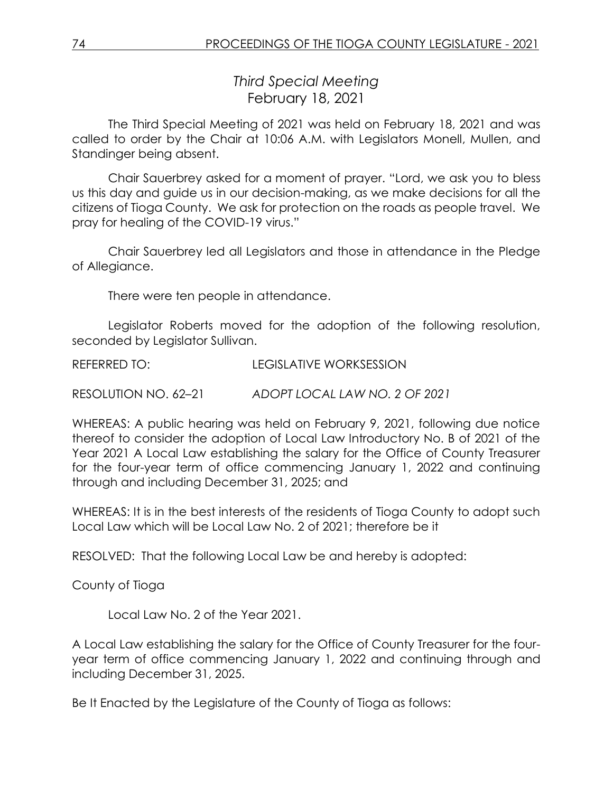*Third Special Meeting* February 18, 2021

The Third Special Meeting of 2021 was held on February 18, 2021 and was called to order by the Chair at 10:06 A.M. with Legislators Monell, Mullen, and Standinger being absent.

Chair Sauerbrey asked for a moment of prayer. "Lord, we ask you to bless us this day and guide us in our decision-making, as we make decisions for all the citizens of Tioga County. We ask for protection on the roads as people travel. We pray for healing of the COVID-19 virus."

Chair Sauerbrey led all Legislators and those in attendance in the Pledge of Allegiance.

There were ten people in attendance.

Legislator Roberts moved for the adoption of the following resolution, seconded by Legislator Sullivan.

REFERRED TO: LEGISLATIVE WORKSESSION

RESOLUTION NO. 62–21 *ADOPT LOCAL LAW NO. 2 OF 2021*

WHEREAS: A public hearing was held on February 9, 2021, following due notice thereof to consider the adoption of Local Law Introductory No. B of 2021 of the Year 2021 A Local Law establishing the salary for the Office of County Treasurer for the four-year term of office commencing January 1, 2022 and continuing through and including December 31, 2025; and

WHEREAS: It is in the best interests of the residents of Tioga County to adopt such Local Law which will be Local Law No. 2 of 2021; therefore be it

RESOLVED: That the following Local Law be and hereby is adopted:

County of Tioga

Local Law No. 2 of the Year 2021.

A Local Law establishing the salary for the Office of County Treasurer for the fouryear term of office commencing January 1, 2022 and continuing through and including December 31, 2025.

Be It Enacted by the Legislature of the County of Tioga as follows: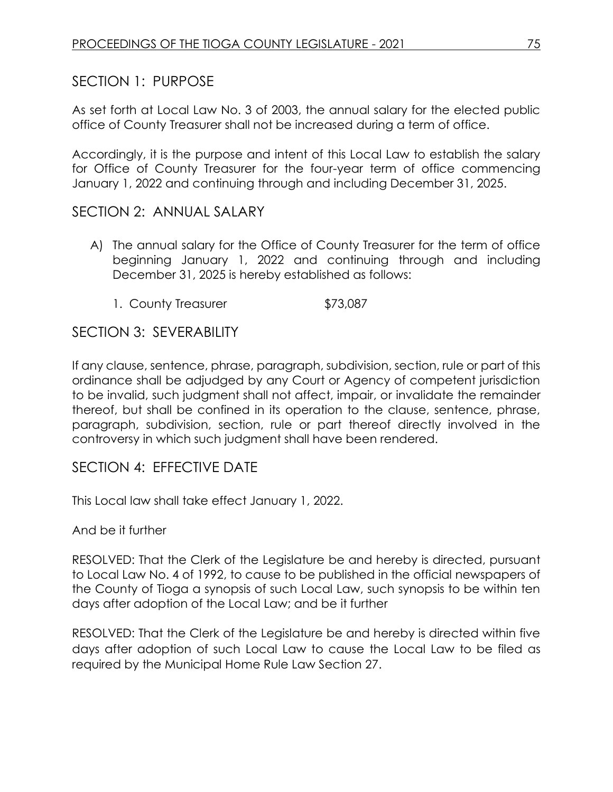## SECTION 1: PURPOSE

As set forth at Local Law No. 3 of 2003, the annual salary for the elected public office of County Treasurer shall not be increased during a term of office.

Accordingly, it is the purpose and intent of this Local Law to establish the salary for Office of County Treasurer for the four-year term of office commencing January 1, 2022 and continuing through and including December 31, 2025.

## SECTION 2: ANNUAL SALARY

- A) The annual salary for the Office of County Treasurer for the term of office beginning January 1, 2022 and continuing through and including December 31, 2025 is hereby established as follows:
	- 1. County Treasurer \$73,087

## SECTION 3: SEVERABILITY

If any clause, sentence, phrase, paragraph, subdivision, section, rule or part of this ordinance shall be adjudged by any Court or Agency of competent jurisdiction to be invalid, such judgment shall not affect, impair, or invalidate the remainder thereof, but shall be confined in its operation to the clause, sentence, phrase, paragraph, subdivision, section, rule or part thereof directly involved in the controversy in which such judgment shall have been rendered.

## SECTION 4: EFFECTIVE DATE

This Local law shall take effect January 1, 2022.

And be it further

RESOLVED: That the Clerk of the Legislature be and hereby is directed, pursuant to Local Law No. 4 of 1992, to cause to be published in the official newspapers of the County of Tioga a synopsis of such Local Law, such synopsis to be within ten days after adoption of the Local Law; and be it further

RESOLVED: That the Clerk of the Legislature be and hereby is directed within five days after adoption of such Local Law to cause the Local Law to be filed as required by the Municipal Home Rule Law Section 27.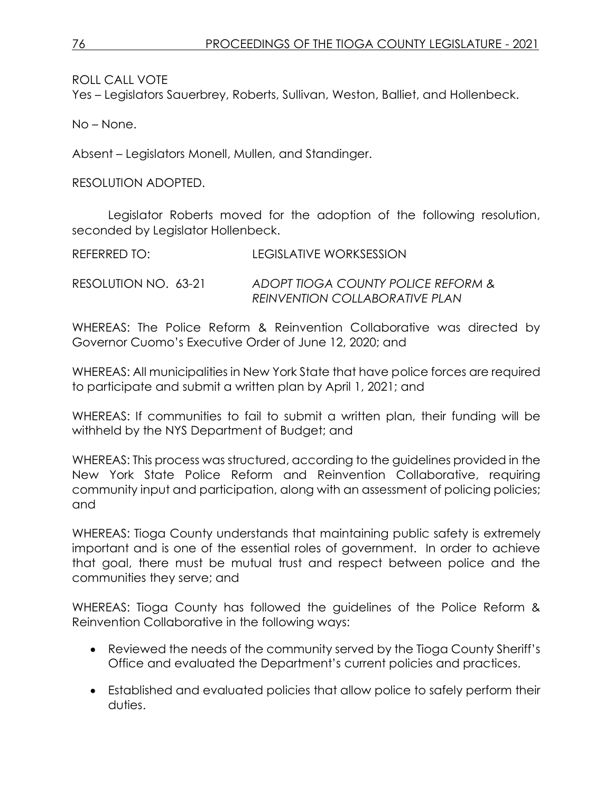ROLL CALL VOTE

Yes – Legislators Sauerbrey, Roberts, Sullivan, Weston, Balliet, and Hollenbeck.

No – None.

Absent – Legislators Monell, Mullen, and Standinger.

RESOLUTION ADOPTED.

Legislator Roberts moved for the adoption of the following resolution, seconded by Legislator Hollenbeck.

REFERRED TO: LEGISLATIVE WORKSESSION

RESOLUTION NO. 63-21 *ADOPT TIOGA COUNTY POLICE REFORM & REINVENTION COLLABORATIVE PLAN* 

WHEREAS: The Police Reform & Reinvention Collaborative was directed by Governor Cuomo's Executive Order of June 12, 2020; and

WHEREAS: All municipalities in New York State that have police forces are required to participate and submit a written plan by April 1, 2021; and

WHEREAS: If communities to fail to submit a written plan, their funding will be withheld by the NYS Department of Budget; and

WHEREAS: This process was structured, according to the guidelines provided in the New York State Police Reform and Reinvention Collaborative, requiring community input and participation, along with an assessment of policing policies; and

WHEREAS: Tioga County understands that maintaining public safety is extremely important and is one of the essential roles of government. In order to achieve that goal, there must be mutual trust and respect between police and the communities they serve; and

WHEREAS: Tioga County has followed the guidelines of the Police Reform & Reinvention Collaborative in the following ways:

- Reviewed the needs of the community served by the Tioga County Sheriff's Office and evaluated the Department's current policies and practices.
- Established and evaluated policies that allow police to safely perform their duties.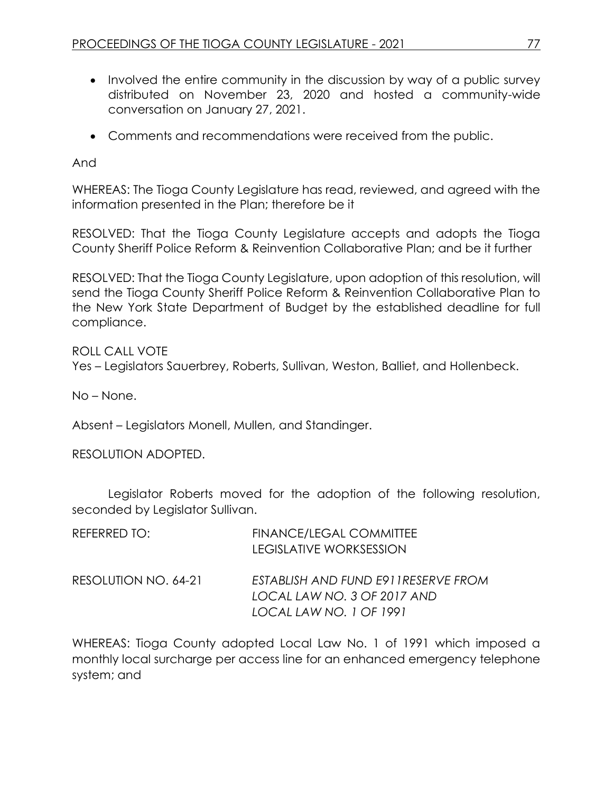- Involved the entire community in the discussion by way of a public survey distributed on November 23, 2020 and hosted a community-wide conversation on January 27, 2021.
- Comments and recommendations were received from the public.

And

WHEREAS: The Tioga County Legislature has read, reviewed, and agreed with the information presented in the Plan; therefore be it

RESOLVED: That the Tioga County Legislature accepts and adopts the Tioga County Sheriff Police Reform & Reinvention Collaborative Plan; and be it further

RESOLVED: That the Tioga County Legislature, upon adoption of this resolution, will send the Tioga County Sheriff Police Reform & Reinvention Collaborative Plan to the New York State Department of Budget by the established deadline for full compliance.

ROLL CALL VOTE Yes – Legislators Sauerbrey, Roberts, Sullivan, Weston, Balliet, and Hollenbeck.

No – None.

Absent – Legislators Monell, Mullen, and Standinger.

RESOLUTION ADOPTED.

Legislator Roberts moved for the adoption of the following resolution, seconded by Legislator Sullivan.

| REFERRED TO:         | <b>FINANCE/LEGAL COMMITTEE</b><br><b>LEGISLATIVE WORKSESSION</b>                              |
|----------------------|-----------------------------------------------------------------------------------------------|
| RESOLUTION NO. 64-21 | ESTABLISH AND FUND E911RESERVE FROM<br>LOCAL LAW NO. 3 OF 2017 AND<br>LOCAL LAW NO. 1 OF 1991 |

WHEREAS: Tioga County adopted Local Law No. 1 of 1991 which imposed a monthly local surcharge per access line for an enhanced emergency telephone system; and